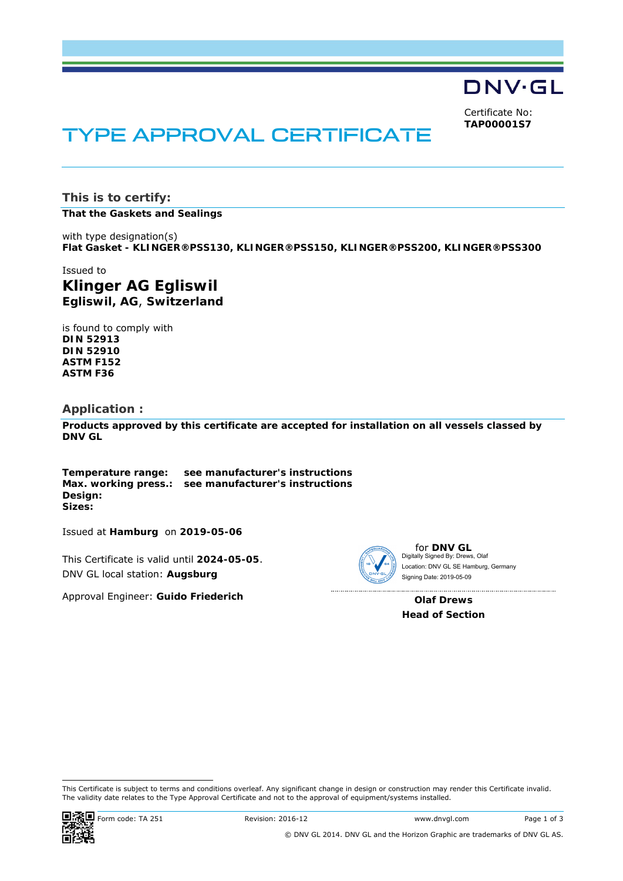DNV·GL

Certificate No: **TAP00001S7**

# TYPE APPROVAL CERTIFICATE

**This is to certify:** 

**That the Gaskets and Sealings**

with type designation(s) **Flat Gasket - KLINGER®PSS130, KLINGER®PSS150, KLINGER®PSS200, KLINGER®PSS300**

Issued to **Klinger AG Egliswil Egliswil, AG**, **Switzerland** 

is found to comply with **DIN 52913 DIN 52910 ASTM F152 ASTM F36** 

#### **Application :**

**Products approved by this certificate are accepted for installation on all vessels classed by DNV GL**

**Temperature range: see manufacturer's instructions Max. working press.: see manufacturer's instructions Design: Sizes:** 

Issued at **Hamburg** on **2019-05-06**

This Certificate is valid until **2024-05-05**. DNV GL local station: **Augsburg**

Approval Engineer: **Guido Friederich**



for **DNV GL** Digitally Signed By: Drews, Olaf Signing Date: 2019-05-09 Location: DNV GL SE Hamburg, Germany

**Olaf Drews Head of Section** 

<sup>-</sup>This Certificate is subject to terms and conditions overleaf. Any significant change in design or construction may render this Certificate invalid. The validity date relates to the Type Approval Certificate and not to the approval of equipment/systems installed.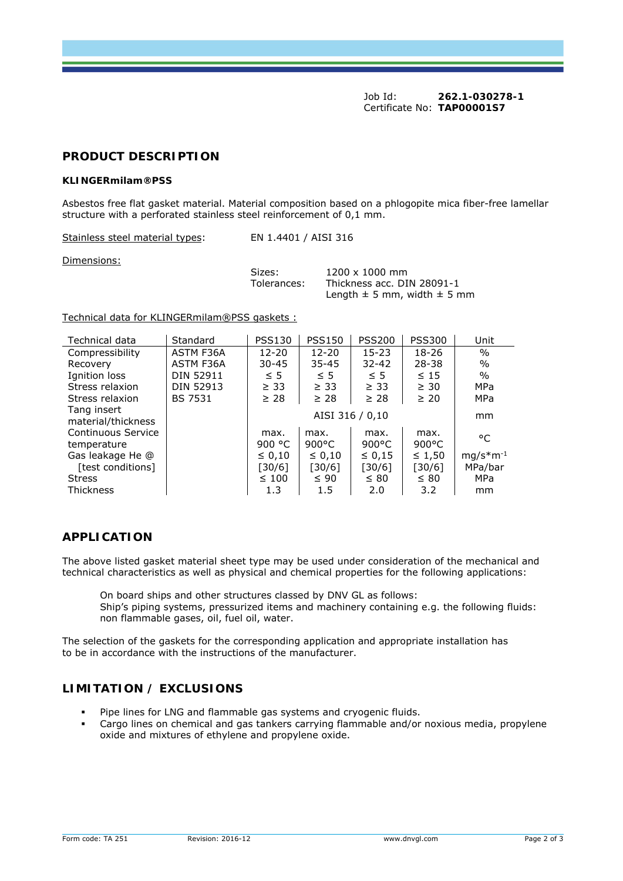Job Id: **262.1-030278-1**  Certificate No: **TAP00001S7**

#### **PRODUCT DESCRIPTION**

#### **KLINGERmilam®PSS**

Asbestos free flat gasket material. Material composition based on a phlogopite mica fiber-free lamellar structure with a perforated stainless steel reinforcement of 0,1 mm.

Stainless steel material types: EN 1.4401 / AISI 316

Dimensions:

Sizes: 1200 x 1000 mm Tolerances: Thickness acc. DIN 28091-1 Length  $\pm$  5 mm, width  $\pm$  5 mm

Technical data for KLINGERmilam®PSS gaskets :

| Technical data                    | Standard         | <b>PSS130</b>           | <b>PSS150</b>           | <b>PSS200</b>           | <b>PSS300</b>           | Unit          |
|-----------------------------------|------------------|-------------------------|-------------------------|-------------------------|-------------------------|---------------|
| Compressibility                   | ASTM F36A        | $12 - 20$               | $12 - 20$               | $15 - 23$               | 18-26                   | $\%$          |
| Recovery                          | <b>ASTM F36A</b> | 30-45                   | $35 - 45$               | $32 - 42$               | $28 - 38$               | $\%$          |
| Ignition loss                     | DIN 52911        | $\leq$ 5                | $\leq$ 5                | $\leq$ 5                | $\leq 15$               | $\%$          |
| Stress relaxion                   | DIN 52913        | $\geq$ 33               | $\geq$ 33               | $\geq$ 33               | $\geq 30$               | MPa           |
| Stress relaxion                   | <b>BS 7531</b>   | $\geq 28$               | $\geq 28$               | $\geq 28$               | $\geq 20$               | MPa           |
| Tang insert<br>material/thickness |                  | AISI 316 / 0,10         |                         |                         |                         | mm            |
| Continuous Service<br>temperature |                  | max.<br>900 $\degree$ C | max.<br>$900^{\circ}$ C | max.<br>$900^{\circ}$ C | max.<br>$900^{\circ}$ C | °C            |
| Gas leakage He @                  |                  | $\leq 0.10$             | $\leq 0.10$             | $\leq 0.15$             | $\leq 1,50$             | $mg/s*m^{-1}$ |
| [test conditions]                 |                  | $[30/6]$                | [30/6]                  | [30/6]                  | [30/6]                  | MPa/bar       |
| <b>Stress</b>                     |                  | $\leq 100$              | $\leq 90$               | $\leq 80$               | $\leq 80$               | MPa           |
| <b>Thickness</b>                  |                  | 1.3                     | 1.5                     | 2.0                     | 3.2                     | mm            |

### **APPLICATION**

The above listed gasket material sheet type may be used under consideration of the mechanical and technical characteristics as well as physical and chemical properties for the following applications:

On board ships and other structures classed by DNV GL as follows: Ship's piping systems, pressurized items and machinery containing e.g. the following fluids: non flammable gases, oil, fuel oil, water.

The selection of the gaskets for the corresponding application and appropriate installation has to be in accordance with the instructions of the manufacturer.

# **LIMITATION / EXCLUSIONS**

- Pipe lines for LNG and flammable gas systems and cryogenic fluids.
- Cargo lines on chemical and gas tankers carrying flammable and/or noxious media, propylene oxide and mixtures of ethylene and propylene oxide.